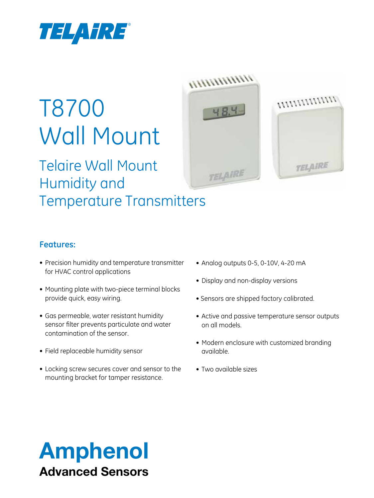

# T8700 Wall Mount

### Telaire Wall Mount Humidity and Temperature Transmitters





#### **Features:**

- Precision humidity and temperature transmitter for HVAC control applications
- Mounting plate with two-piece terminal blocks provide quick, easy wiring.
- Gas permeable, water resistant humidity sensor filter prevents particulate and water contamination of the sensor.
- Field replaceable humidity sensor
- Locking screw secures cover and sensor to the mounting bracket for tamper resistance.
- $\bullet$  Analog outputs 0-5, 0-10V, 4-20 mA
- Display and non-display versions
- Sensors are shipped factory calibrated.
- Active and passive temperature sensor outputs on all models.
- Modern enclosure with customized branding available.
- • Two available sizes

## Amphenol Advanced Sensors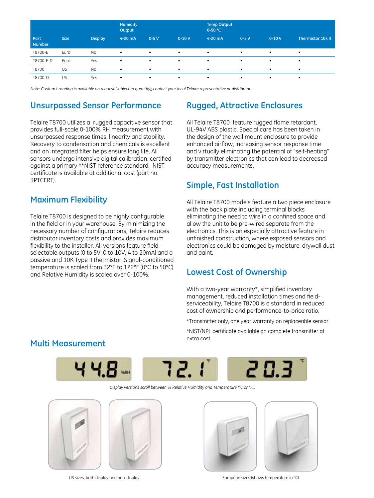|                       |             |                | <b>Humidity</b><br>Output |           |           | <b>Temp Output</b><br>$0-50 °C$ |           |           |                   |
|-----------------------|-------------|----------------|---------------------------|-----------|-----------|---------------------------------|-----------|-----------|-------------------|
| Part<br><b>Number</b> | <b>Size</b> | <b>Display</b> | 4-20 mA                   | $0-5V$    | $0-10V$   | 4-20 mA                         | $0-5V$    | $0 - 10V$ | Thermistor 10k II |
| T8700-E               | Euro        | <b>No</b>      | $\bullet$                 | ٠         | $\bullet$ | $\bullet$                       | $\bullet$ | $\bullet$ | ٠                 |
| T8700-E-D             | Euro        | Yes            | $\bullet$                 | $\bullet$ | $\bullet$ | $\bullet$                       | $\bullet$ | $\bullet$ | ٠                 |
| T8700                 | US          | <b>No</b>      | $\bullet$                 | ٠         | ٠         | $\bullet$                       | ٠         | $\bullet$ | ٠                 |
| T8700-D               | US          | Yes            | $\bullet$                 | ٠         | ٠         | $\bullet$                       | ٠         | $\bullet$ | ٠                 |

*Note: Custom branding is available on request (subject to quantity); contact your local Telaire representative or distributor.*

#### **Unsurpassed Sensor Performance**

Telaire T8700 utilizes a rugged capacitive sensor that provides full-scale 0-100% RH measurement with unsurpassed response times, linearity and stability. Recovery to condensation and chemicals is excellent and an integrated filter helps ensure long life. All sensors undergo intensive digital calibration, certified against a primary \*\*NIST reference standard. NIST certificate is available at additional cost (part no. 3PTCERT).

#### **Maximum Flexibility**

Telaire T8700 is designed to be highly configurable in the field or in your warehouse. By minimizing the necessary number of configurations, Telaire reduces distributor inventory costs and provides maximum flexibility to the installer. All versions feature fieldselectable outputs (0 to 5V, 0 to 10V, 4 to 20mA) and a passive and 10K Type II thermistor. Signal-conditioned temperature is scaled from 32°F to 122°F (0°C to 50°C) and Relative Humidity is scaled over 0-100%.

#### **Rugged, Attractive Enclosures**

All Telaire T8700 feature rugged flame retardant, UL-94V ABS plastic. Special care has been taken in the design of the wall mount enclosure to provide enhanced airflow, increasing sensor response time and virtually eliminating the potential of "self-heating" by transmitter electronics that can lead to decreased accuracy measurements.

#### **Simple, Fast Installation**

All Telaire T8700 models feature a two piece enclosure with the back plate including terminal blocks eliminating the need to wire in a confined space and allow the unit to be pre-wired separate from the electronics. This is an especially attractive feature in unfinished construction, where exposed sensors and electronics could be damaged by moisture, drywall dust and paint.

#### **Lowest Cost of Ownership**

With a two-year warranty\*, simplified inventory management, reduced installation times and fieldserviceability, Telaire T8700 is a standard in reduced cost of ownership and performance-to-price ratio.

\*Transmitter only, one year warranty on replaceable sensor.

\*NIST/NPL certificate available on complete transmitter at extra cost.

#### **Multi Measurement**



*Display versions scroll between % Relative Humidity and Temperature (°C or °F)..*









US sizes, both display and non-display entity and the state of the state of the European sizes (shows temperature in °C)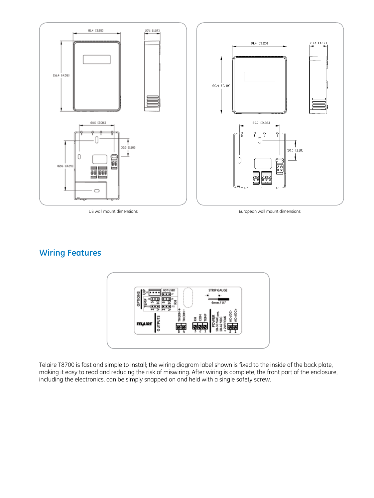

US wall mount dimensions

European wall mount dimensions

#### **Wiring Features**



Telaire T8700 is fast and simple to install; the wiring diagram label shown is fixed to the inside of the back plate, making it easy to read and reducing the risk of miswiring. After wiring is complete, the front part of the enclosure, including the electronics, can be simply snapped on and held with a single safety screw.